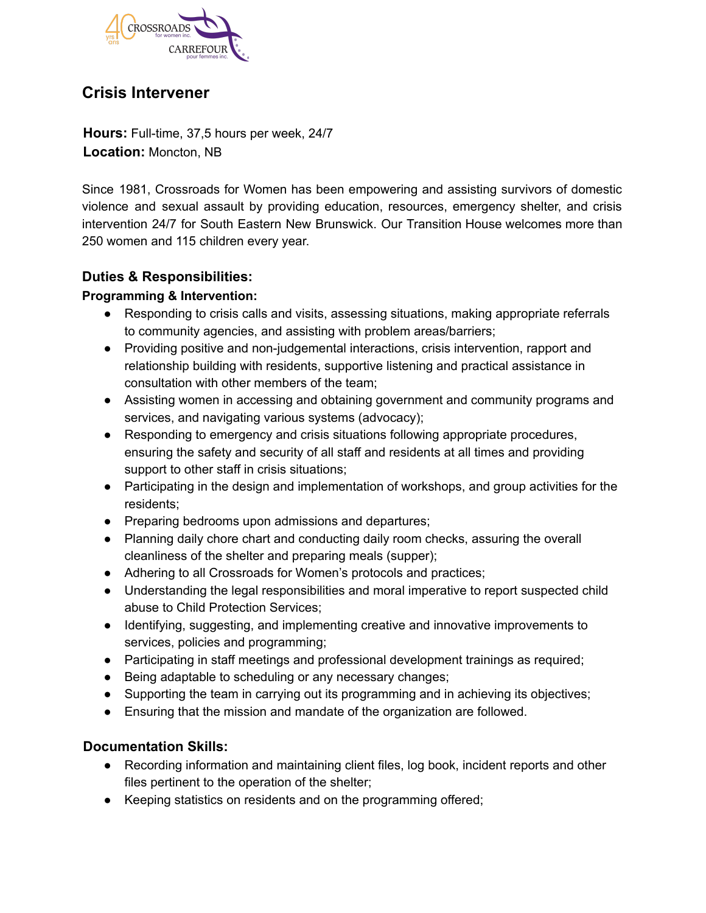

# **Crisis Intervener**

**Hours:** Full-time, 37,5 hours per week, 24/7 **Location:** Moncton, NB

Since 1981, Crossroads for Women has been empowering and assisting survivors of domestic violence and sexual assault by providing education, resources, emergency shelter, and crisis intervention 24/7 for South Eastern New Brunswick. Our Transition House welcomes more than 250 women and 115 children every year.

# **Duties & Responsibilities:**

### **Programming & Intervention:**

- Responding to crisis calls and visits, assessing situations, making appropriate referrals to community agencies, and assisting with problem areas/barriers;
- Providing positive and non-judgemental interactions, crisis intervention, rapport and relationship building with residents, supportive listening and practical assistance in consultation with other members of the team;
- Assisting women in accessing and obtaining government and community programs and services, and navigating various systems (advocacy);
- Responding to emergency and crisis situations following appropriate procedures, ensuring the safety and security of all staff and residents at all times and providing support to other staff in crisis situations;
- Participating in the design and implementation of workshops, and group activities for the residents;
- Preparing bedrooms upon admissions and departures;
- Planning daily chore chart and conducting daily room checks, assuring the overall cleanliness of the shelter and preparing meals (supper);
- Adhering to all Crossroads for Women's protocols and practices;
- Understanding the legal responsibilities and moral imperative to report suspected child abuse to Child Protection Services;
- Identifying, suggesting, and implementing creative and innovative improvements to services, policies and programming;
- Participating in staff meetings and professional development trainings as required;
- Being adaptable to scheduling or any necessary changes;
- Supporting the team in carrying out its programming and in achieving its objectives;
- Ensuring that the mission and mandate of the organization are followed.

# **Documentation Skills:**

- Recording information and maintaining client files, log book, incident reports and other files pertinent to the operation of the shelter;
- Keeping statistics on residents and on the programming offered;